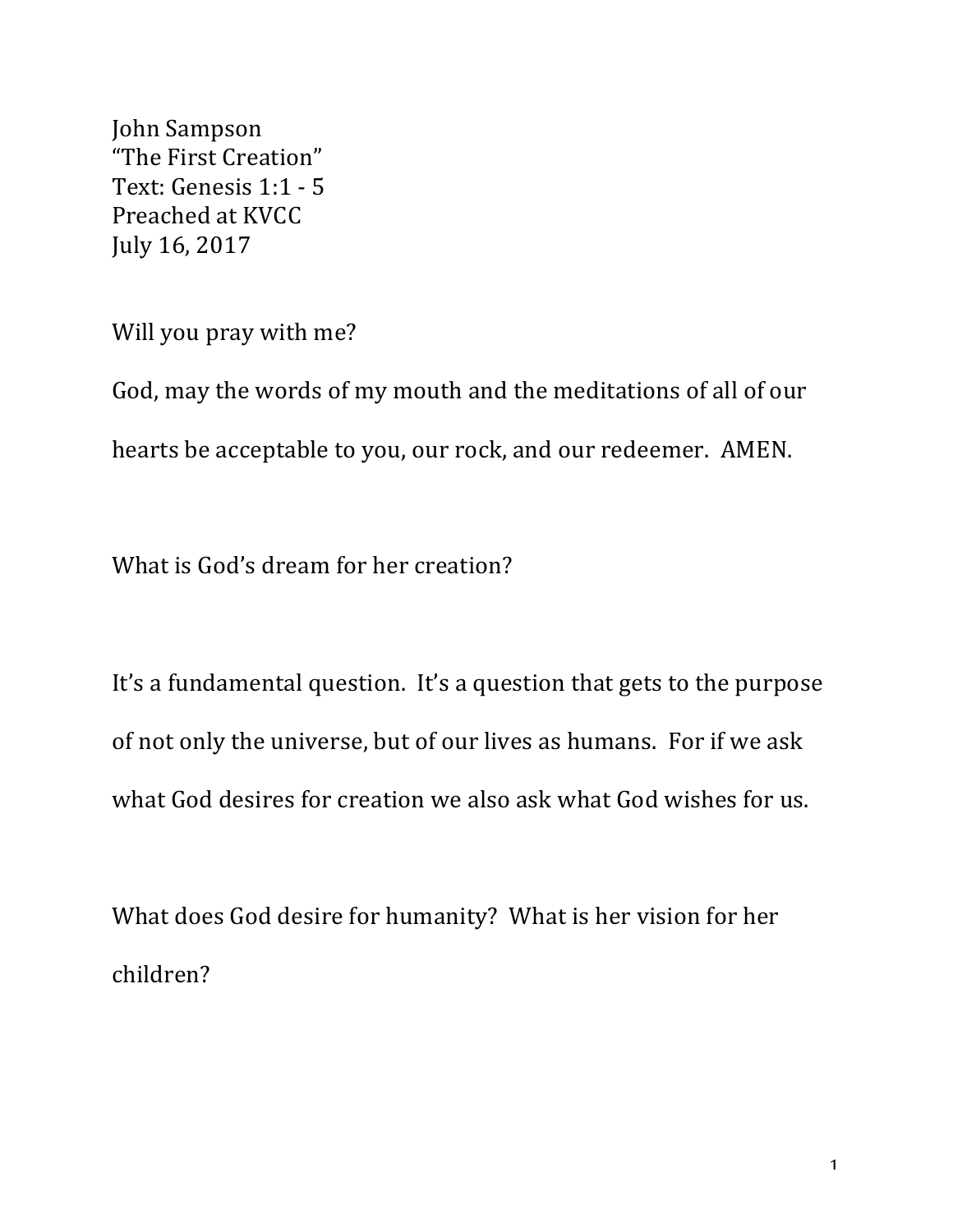John Sampson "The First Creation" Text: Genesis 1:1 - 5 Preached at KVCC July 16, 2017

Will you pray with me?

God, may the words of my mouth and the meditations of all of our hearts be acceptable to you, our rock, and our redeemer. AMEN.

What is God's dream for her creation?

It's a fundamental question. It's a question that gets to the purpose of not only the universe, but of our lives as humans. For if we ask what God desires for creation we also ask what God wishes for us.

What does God desire for humanity? What is her vision for her children?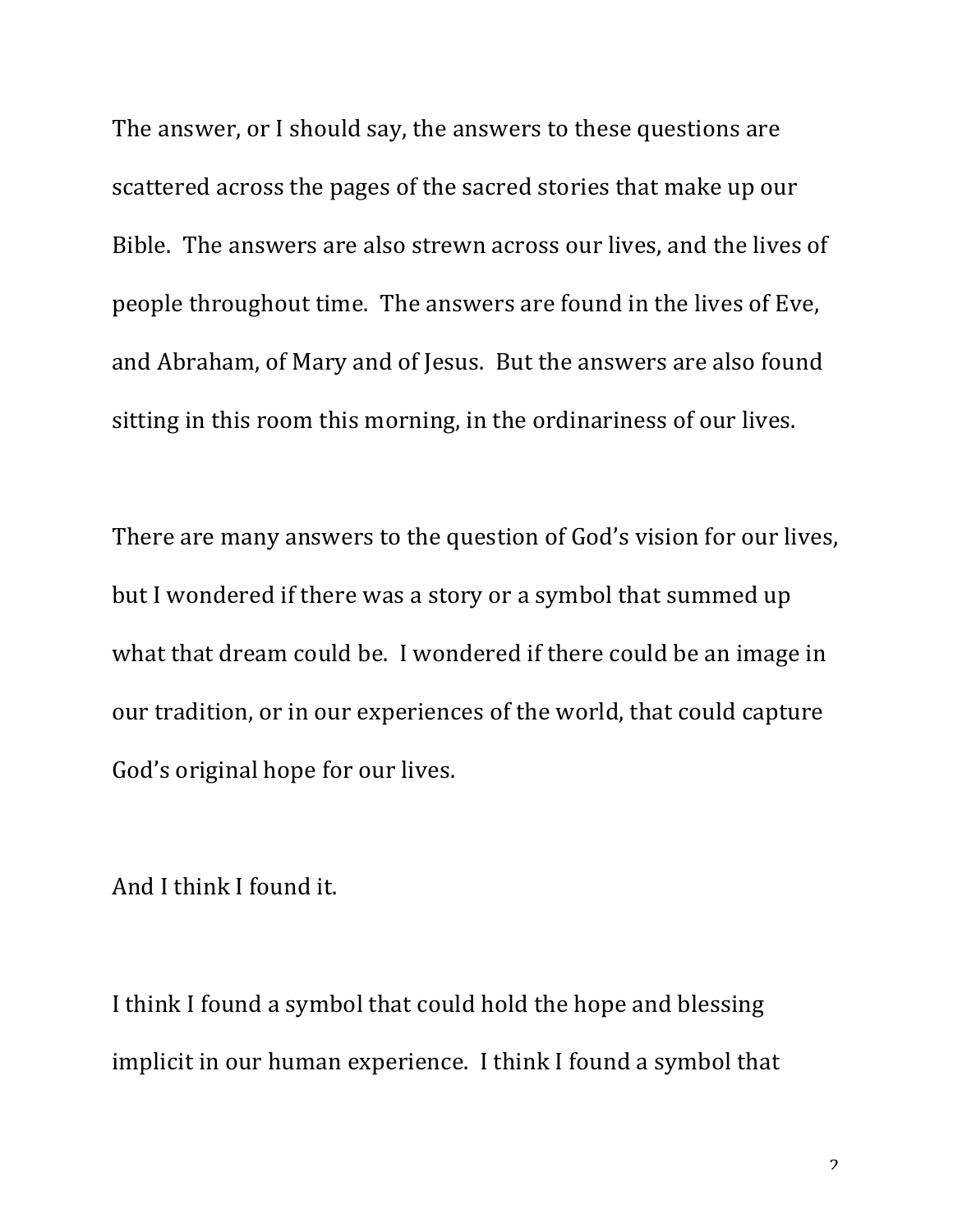The answer, or I should say, the answers to these questions are scattered across the pages of the sacred stories that make up our Bible. The answers are also strewn across our lives, and the lives of people throughout time. The answers are found in the lives of Eve, and Abraham, of Mary and of Jesus. But the answers are also found sitting in this room this morning, in the ordinariness of our lives.

There are many answers to the question of God's vision for our lives, but I wondered if there was a story or a symbol that summed up what that dream could be. I wondered if there could be an image in our tradition, or in our experiences of the world, that could capture God's original hope for our lives.

And I think I found it.

I think I found a symbol that could hold the hope and blessing implicit in our human experience. I think I found a symbol that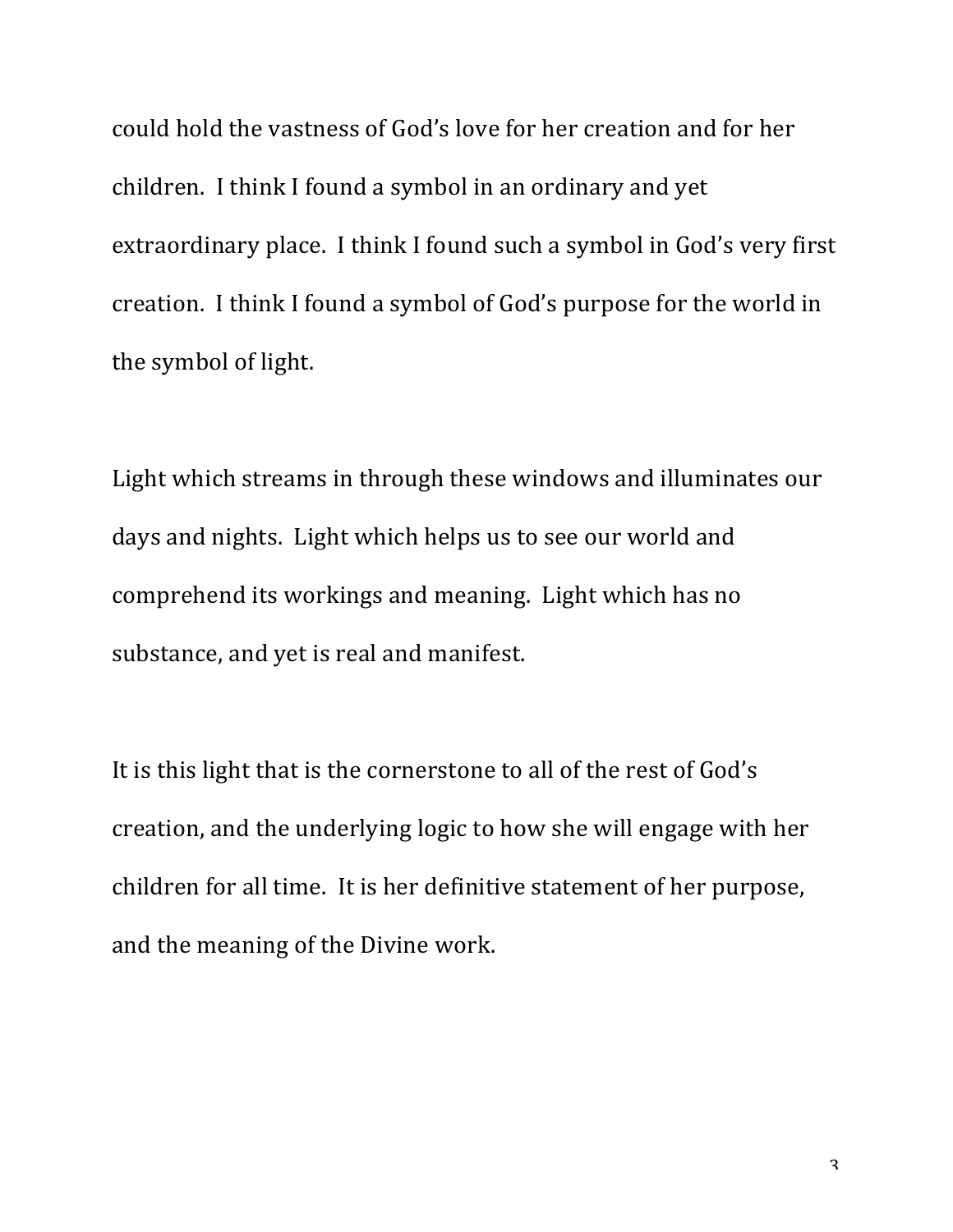could hold the vastness of God's love for her creation and for her children. I think I found a symbol in an ordinary and yet extraordinary place. I think I found such a symbol in God's very first creation. I think I found a symbol of God's purpose for the world in the symbol of light.

Light which streams in through these windows and illuminates our days and nights. Light which helps us to see our world and comprehend its workings and meaning. Light which has no substance, and yet is real and manifest.

It is this light that is the cornerstone to all of the rest of God's creation, and the underlying logic to how she will engage with her children for all time. It is her definitive statement of her purpose, and the meaning of the Divine work.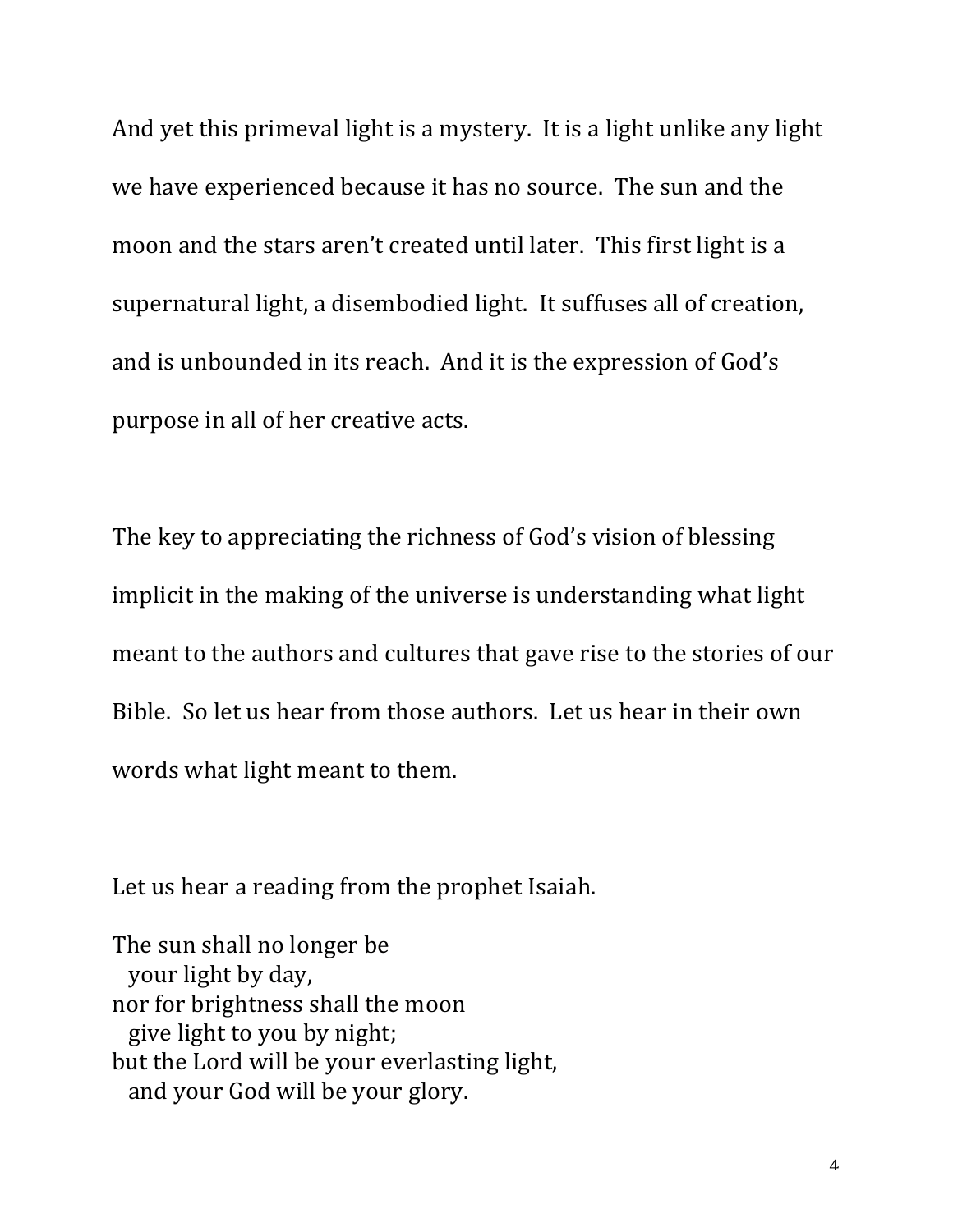And yet this primeval light is a mystery. It is a light unlike any light we have experienced because it has no source. The sun and the moon and the stars aren't created until later. This first light is a supernatural light, a disembodied light. It suffuses all of creation, and is unbounded in its reach. And it is the expression of God's purpose in all of her creative acts.

The key to appreciating the richness of God's vision of blessing implicit in the making of the universe is understanding what light meant to the authors and cultures that gave rise to the stories of our Bible. So let us hear from those authors. Let us hear in their own words what light meant to them.

Let us hear a reading from the prophet Isaiah.

The sun shall no longer be your light by day, nor for brightness shall the moon give light to you by night; but the Lord will be your everlasting light, and your God will be your glory.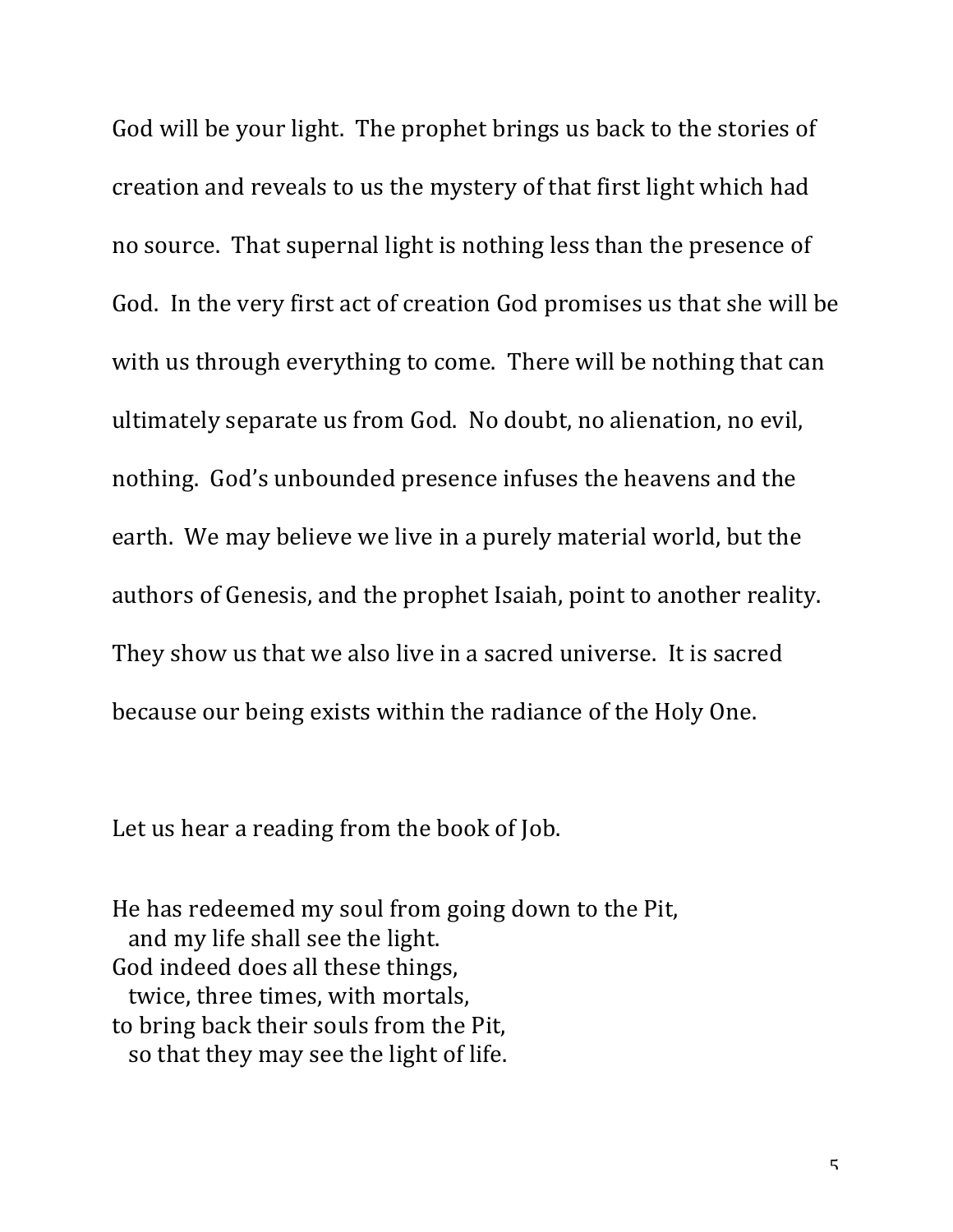God will be your light. The prophet brings us back to the stories of creation and reveals to us the mystery of that first light which had no source. That supernal light is nothing less than the presence of God. In the very first act of creation God promises us that she will be with us through everything to come. There will be nothing that can ultimately separate us from God. No doubt, no alienation, no evil, nothing. God's unbounded presence infuses the heavens and the earth. We may believe we live in a purely material world, but the authors of Genesis, and the prophet Isaiah, point to another reality. They show us that we also live in a sacred universe. It is sacred because our being exists within the radiance of the Holy One.

Let us hear a reading from the book of Job.

He has redeemed my soul from going down to the Pit, and my life shall see the light. God indeed does all these things, twice, three times, with mortals, to bring back their souls from the Pit, so that they may see the light of life.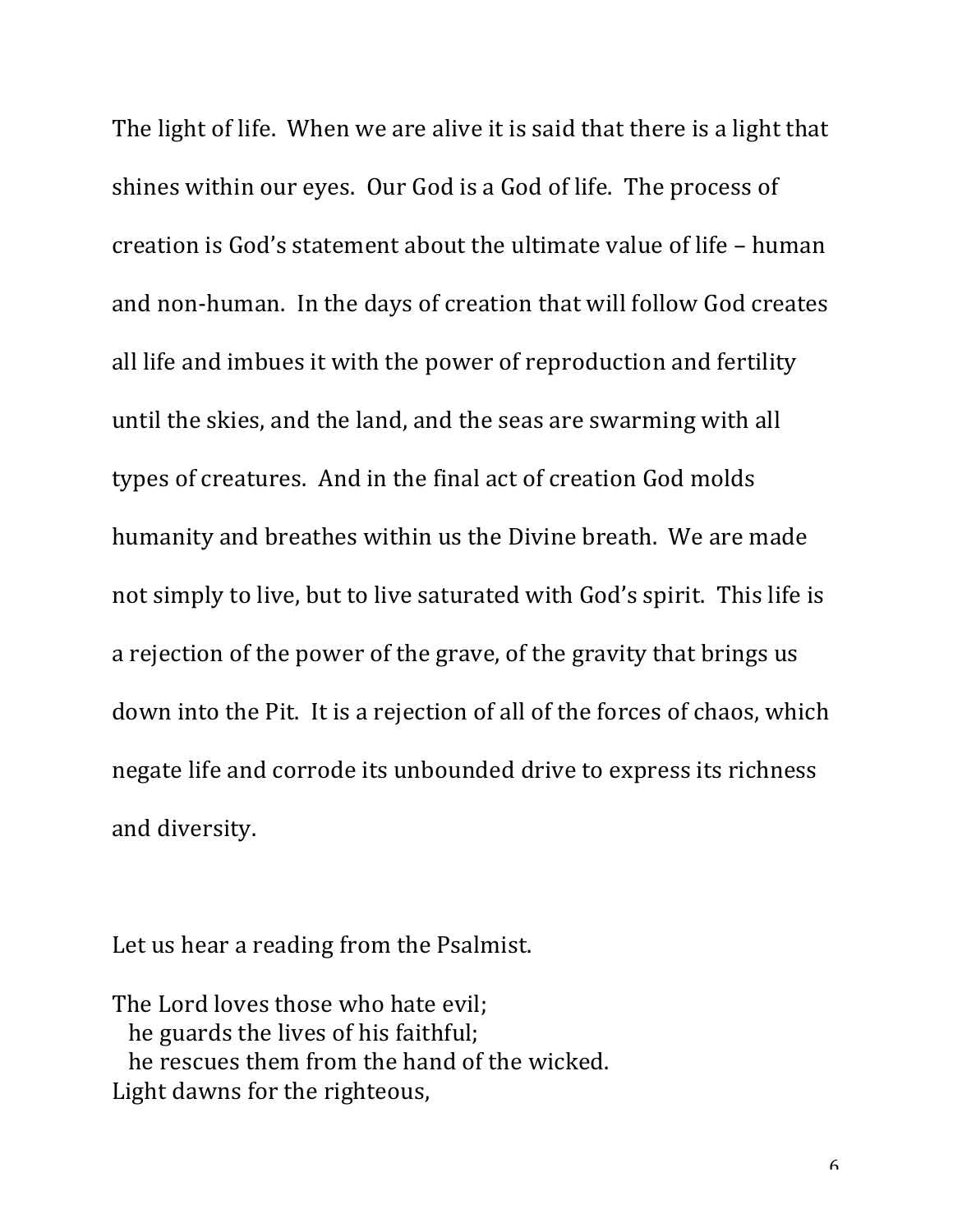The light of life. When we are alive it is said that there is a light that shines within our eyes. Our God is a God of life. The process of creation is God's statement about the ultimate value of life – human and non-human. In the days of creation that will follow God creates all life and imbues it with the power of reproduction and fertility until the skies, and the land, and the seas are swarming with all types of creatures. And in the final act of creation God molds humanity and breathes within us the Divine breath. We are made not simply to live, but to live saturated with God's spirit. This life is a rejection of the power of the grave, of the gravity that brings us down into the Pit. It is a rejection of all of the forces of chaos, which negate life and corrode its unbounded drive to express its richness and diversity.

Let us hear a reading from the Psalmist.

The Lord loves those who hate evil; he guards the lives of his faithful; he rescues them from the hand of the wicked. Light dawns for the righteous,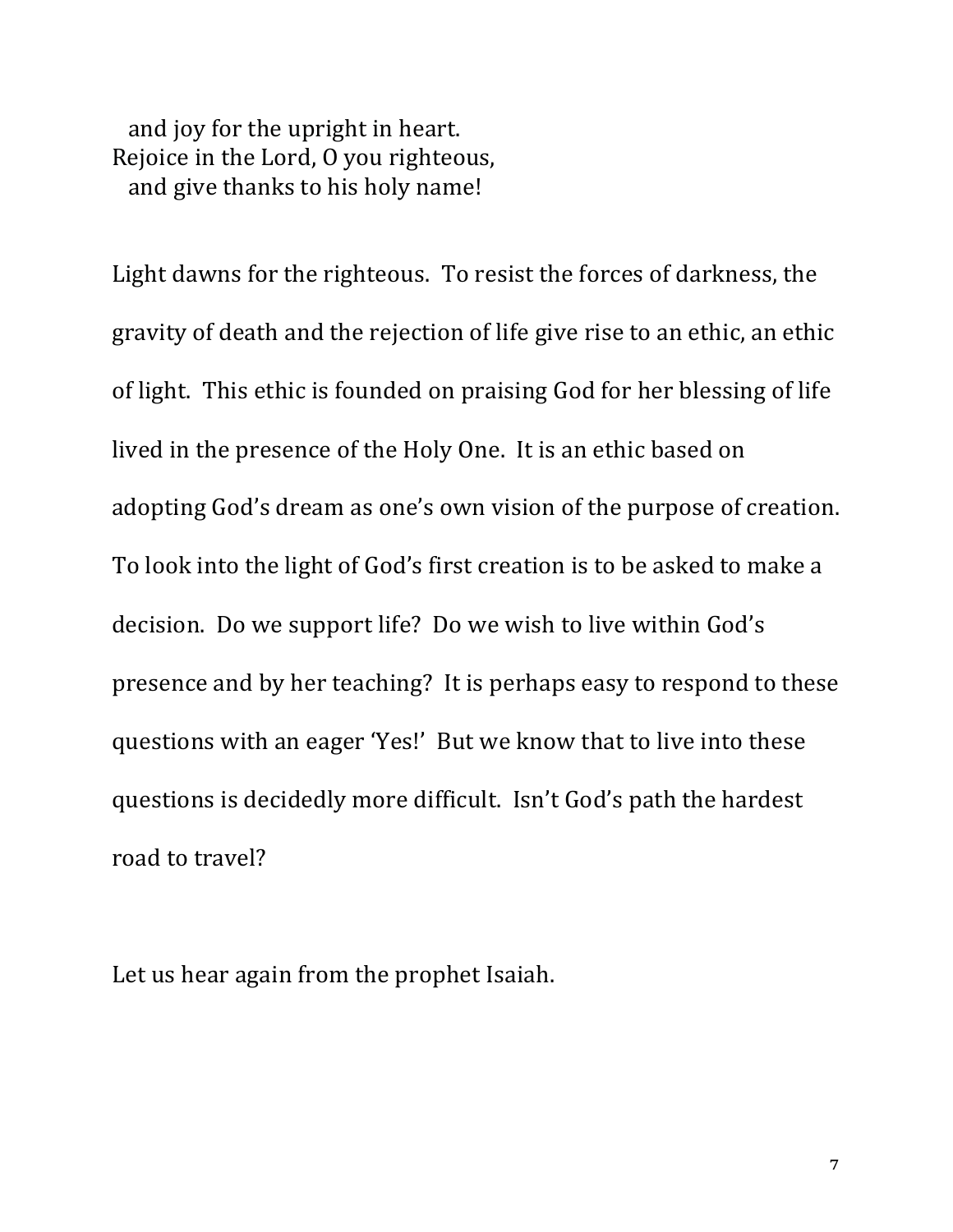and joy for the upright in heart. Rejoice in the Lord, O you righteous, and give thanks to his holy name!

Light dawns for the righteous. To resist the forces of darkness, the gravity of death and the rejection of life give rise to an ethic, an ethic of light. This ethic is founded on praising God for her blessing of life lived in the presence of the Holy One. It is an ethic based on adopting God's dream as one's own vision of the purpose of creation. To look into the light of God's first creation is to be asked to make a decision. Do we support life? Do we wish to live within God's presence and by her teaching? It is perhaps easy to respond to these questions with an eager 'Yes!' But we know that to live into these questions is decidedly more difficult. Isn't God's path the hardest road to travel?

Let us hear again from the prophet Isaiah.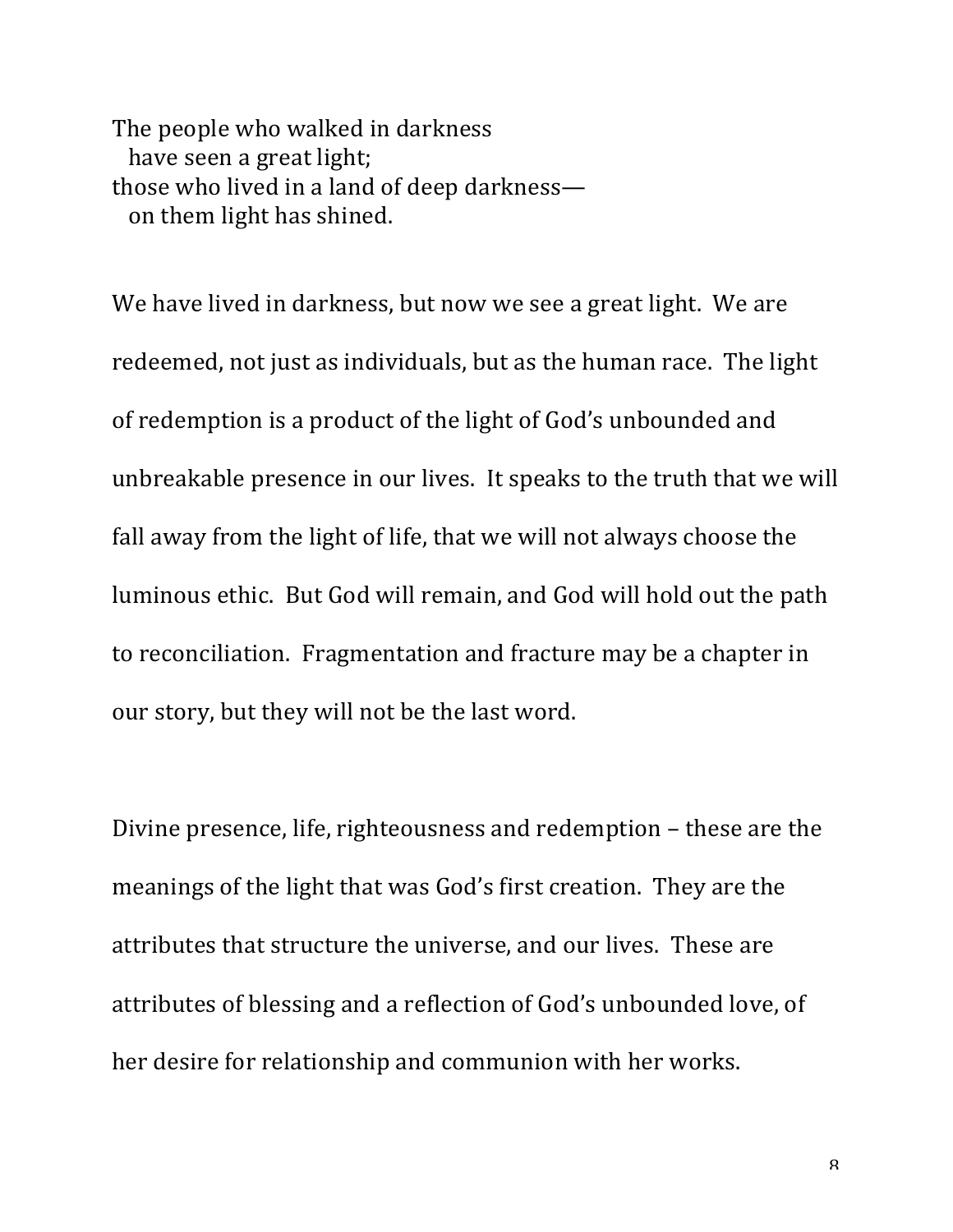The people who walked in darkness have seen a great light; those who lived in a land of deep darknesson them light has shined.

We have lived in darkness, but now we see a great light. We are redeemed, not just as individuals, but as the human race. The light of redemption is a product of the light of God's unbounded and unbreakable presence in our lives. It speaks to the truth that we will fall away from the light of life, that we will not always choose the luminous ethic. But God will remain, and God will hold out the path to reconciliation. Fragmentation and fracture may be a chapter in our story, but they will not be the last word.

Divine presence, life, righteousness and redemption – these are the meanings of the light that was God's first creation. They are the attributes that structure the universe, and our lives. These are attributes of blessing and a reflection of God's unbounded love, of her desire for relationship and communion with her works.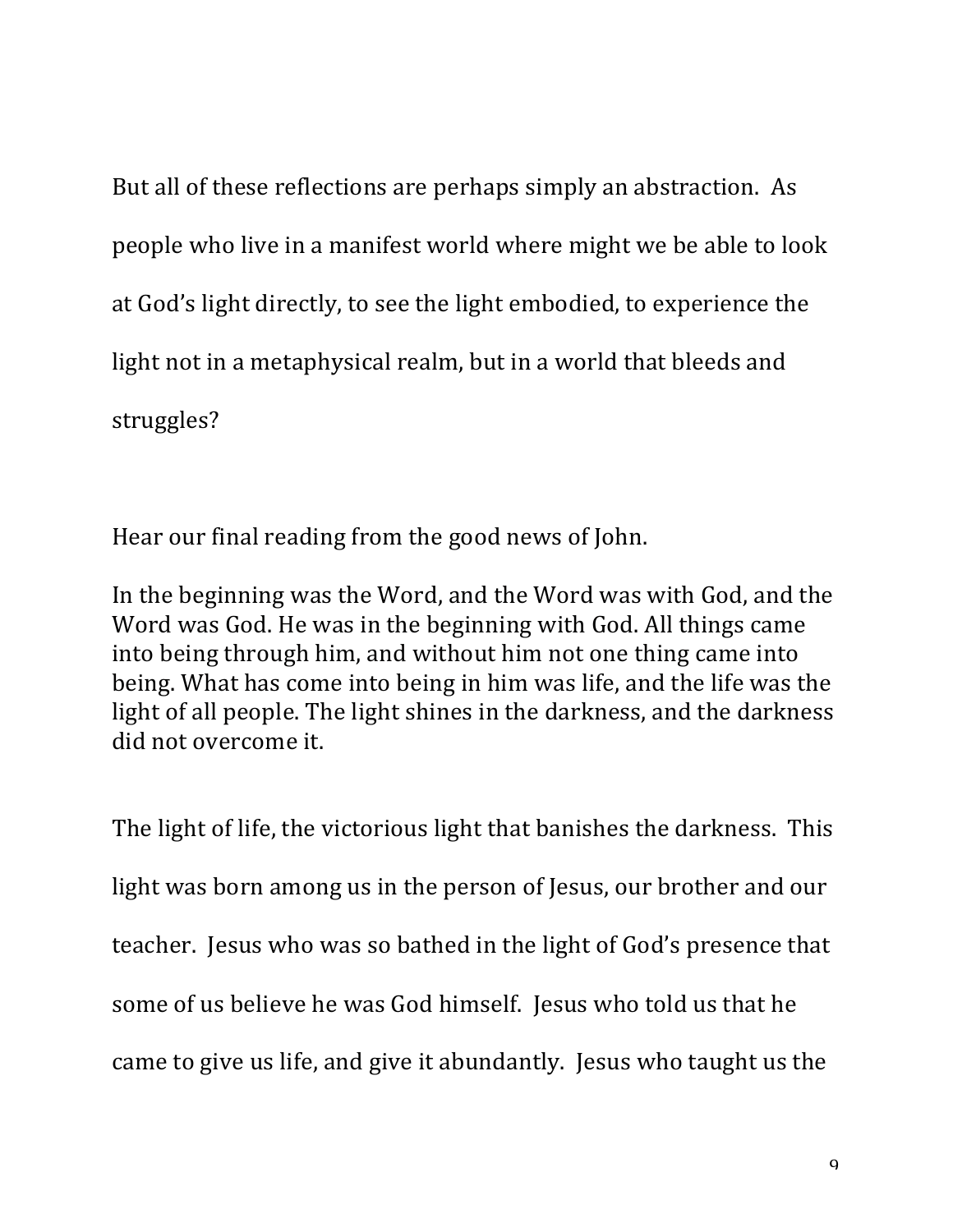But all of these reflections are perhaps simply an abstraction. As people who live in a manifest world where might we be able to look at God's light directly, to see the light embodied, to experience the light not in a metaphysical realm, but in a world that bleeds and struggles?

Hear our final reading from the good news of John.

In the beginning was the Word, and the Word was with God, and the Word was God. He was in the beginning with God. All things came into being through him, and without him not one thing came into being. What has come into being in him was life, and the life was the light of all people. The light shines in the darkness, and the darkness did not overcome it.

The light of life, the victorious light that banishes the darkness. This light was born among us in the person of Jesus, our brother and our teacher. Jesus who was so bathed in the light of God's presence that some of us believe he was God himself. Jesus who told us that he came to give us life, and give it abundantly. Jesus who taught us the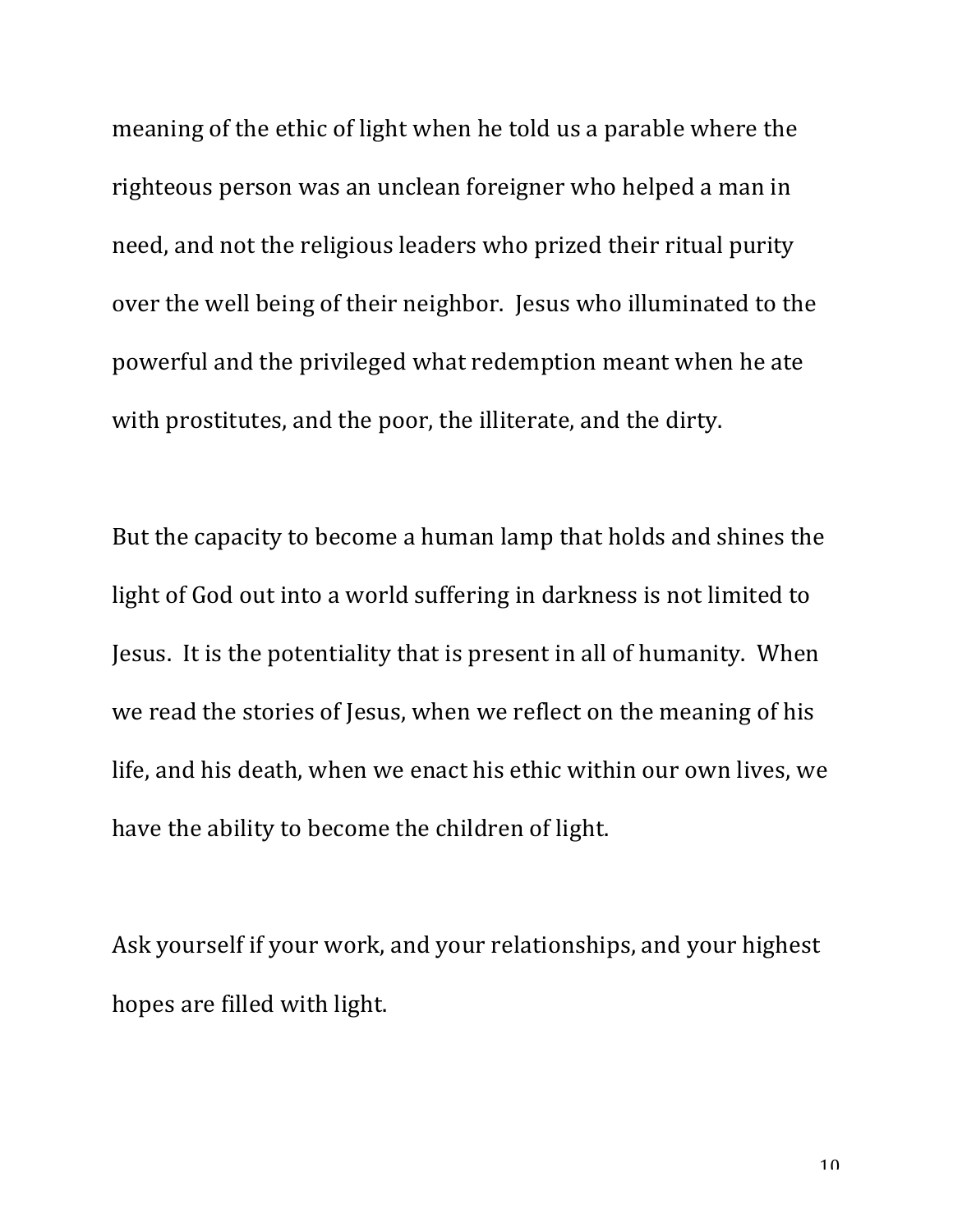meaning of the ethic of light when he told us a parable where the righteous person was an unclean foreigner who helped a man in need, and not the religious leaders who prized their ritual purity over the well being of their neighbor. Jesus who illuminated to the powerful and the privileged what redemption meant when he ate with prostitutes, and the poor, the illiterate, and the dirty.

But the capacity to become a human lamp that holds and shines the light of God out into a world suffering in darkness is not limited to Jesus. It is the potentiality that is present in all of humanity. When we read the stories of Jesus, when we reflect on the meaning of his life, and his death, when we enact his ethic within our own lives, we have the ability to become the children of light.

Ask yourself if your work, and your relationships, and your highest hopes are filled with light.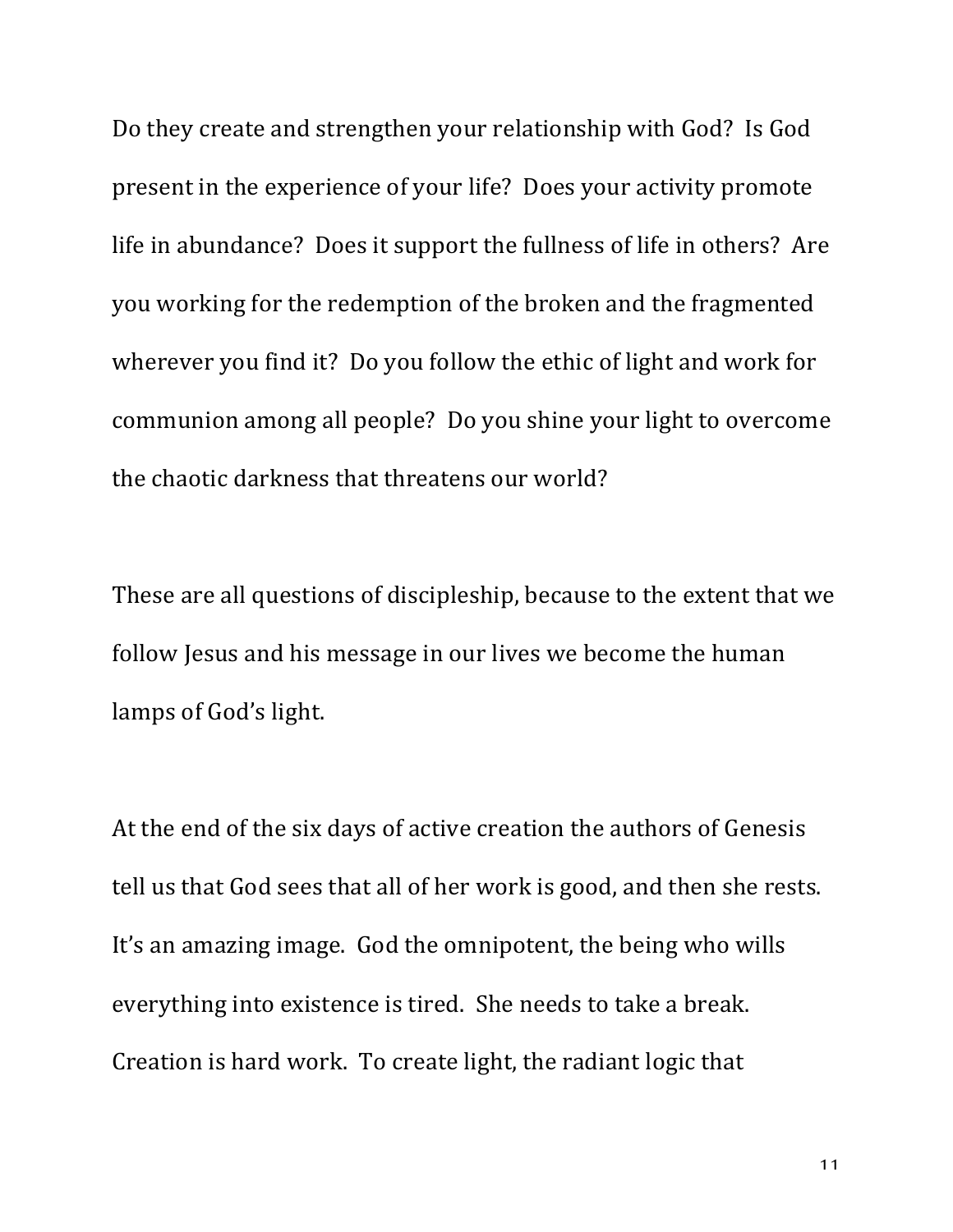Do they create and strengthen your relationship with God? Is God present in the experience of your life? Does your activity promote life in abundance? Does it support the fullness of life in others? Are you working for the redemption of the broken and the fragmented wherever you find it? Do you follow the ethic of light and work for communion among all people? Do you shine your light to overcome the chaotic darkness that threatens our world?

These are all questions of discipleship, because to the extent that we follow Jesus and his message in our lives we become the human lamps of God's light.

At the end of the six days of active creation the authors of Genesis tell us that God sees that all of her work is good, and then she rests. It's an amazing image. God the omnipotent, the being who wills everything into existence is tired. She needs to take a break. Creation is hard work. To create light, the radiant logic that